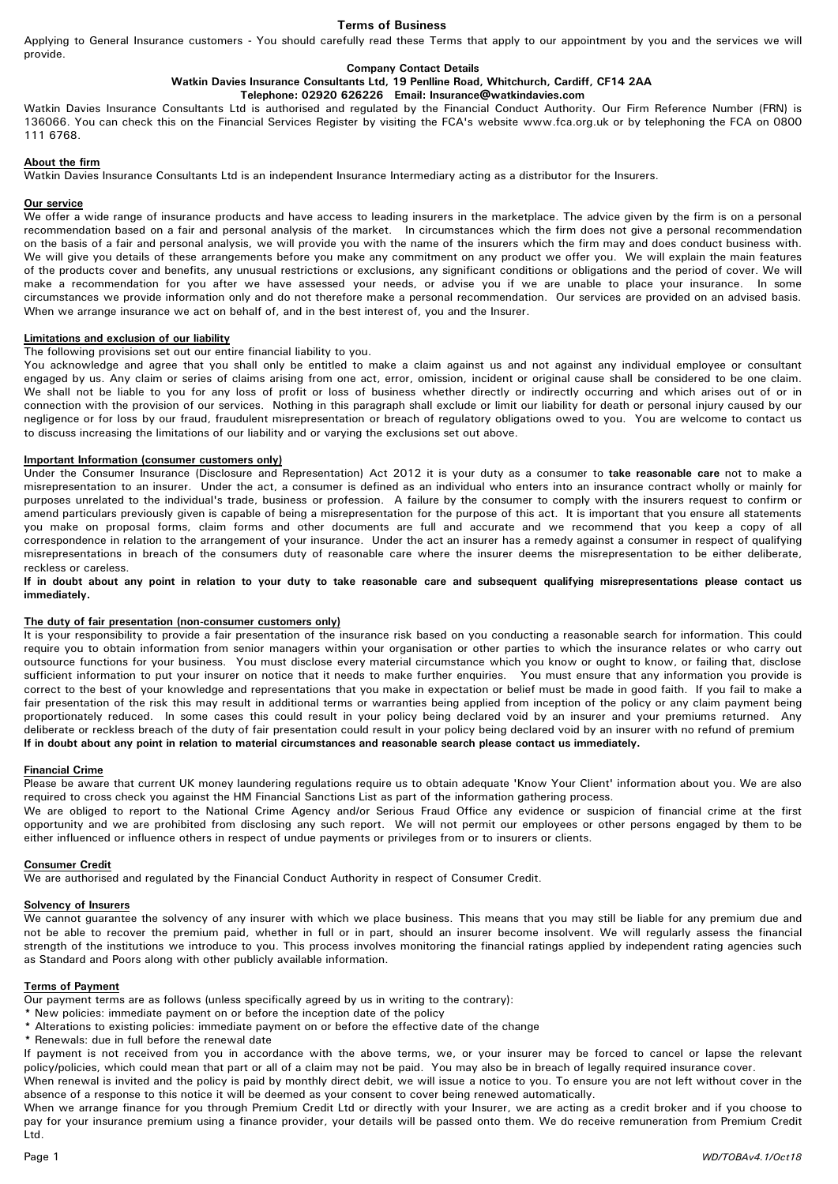## Terms of Business

Applying to General Insurance customers - You should carefully read these Terms that apply to our appointment by you and the services we will provide.

### Company Contact Details

Watkin Davies Insurance Consultants Ltd, 19 Penlline Road, Whitchurch, Cardiff, CF14 2AA

### Telephone: 02920 626226 Email: Insurance@watkindavies.com

Watkin Davies Insurance Consultants Ltd is authorised and regulated by the Financial Conduct Authority. Our Firm Reference Number (FRN) is 136066. You can check this on the Financial Services Register by visiting the FCA's website www.fca.org.uk or by telephoning the FCA on 0800 111 6768.

### About the firm

Watkin Davies Insurance Consultants Ltd is an independent Insurance Intermediary acting as a distributor for the Insurers.

### Our service

We offer a wide range of insurance products and have access to leading insurers in the marketplace. The advice given by the firm is on a personal recommendation based on a fair and personal analysis of the market. In circumstances which the firm does not give a personal recommendation on the basis of a fair and personal analysis, we will provide you with the name of the insurers which the firm may and does conduct business with. We will give you details of these arrangements before you make any commitment on any product we offer you. We will explain the main features of the products cover and benefits, any unusual restrictions or exclusions, any significant conditions or obligations and the period of cover. We will make a recommendation for you after we have assessed your needs, or advise you if we are unable to place your insurance. In some circumstances we provide information only and do not therefore make a personal recommendation. Our services are provided on an advised basis. When we arrange insurance we act on behalf of, and in the best interest of, you and the Insurer.

### Limitations and exclusion of our liability

The following provisions set out our entire financial liability to you.

You acknowledge and agree that you shall only be entitled to make a claim against us and not against any individual employee or consultant engaged by us. Any claim or series of claims arising from one act, error, omission, incident or original cause shall be considered to be one claim. We shall not be liable to you for any loss of profit or loss of business whether directly or indirectly occurring and which arises out of or in connection with the provision of our services. Nothing in this paragraph shall exclude or limit our liability for death or personal injury caused by our negligence or for loss by our fraud, fraudulent misrepresentation or breach of regulatory obligations owed to you. You are welcome to contact us to discuss increasing the limitations of our liability and or varying the exclusions set out above.

### Important Information (consumer customers only)

Under the Consumer Insurance (Disclosure and Representation) Act 2012 it is your duty as a consumer to take reasonable care not to make a misrepresentation to an insurer. Under the act, a consumer is defined as an individual who enters into an insurance contract wholly or mainly for purposes unrelated to the individual's trade, business or profession. A failure by the consumer to comply with the insurers request to confirm or amend particulars previously given is capable of being a misrepresentation for the purpose of this act. It is important that you ensure all statements you make on proposal forms, claim forms and other documents are full and accurate and we recommend that you keep a copy of all correspondence in relation to the arrangement of your insurance. Under the act an insurer has a remedy against a consumer in respect of qualifying misrepresentations in breach of the consumers duty of reasonable care where the insurer deems the misrepresentation to be either deliberate, reckless or careless.

If in doubt about any point in relation to your duty to take reasonable care and subsequent qualifying misrepresentations please contact us immediately.

## The duty of fair presentation (non-consumer customers only)

It is your responsibility to provide a fair presentation of the insurance risk based on you conducting a reasonable search for information. This could require you to obtain information from senior managers within your organisation or other parties to which the insurance relates or who carry out outsource functions for your business. You must disclose every material circumstance which you know or ought to know, or failing that, disclose sufficient information to put your insurer on notice that it needs to make further enquiries. You must ensure that any information you provide is correct to the best of your knowledge and representations that you make in expectation or belief must be made in good faith. If you fail to make a fair presentation of the risk this may result in additional terms or warranties being applied from inception of the policy or any claim payment being proportionately reduced. In some cases this could result in your policy being declared void by an insurer and your premiums returned. Any deliberate or reckless breach of the duty of fair presentation could result in your policy being declared void by an insurer with no refund of premium If in doubt about any point in relation to material circumstances and reasonable search please contact us immediately.

## Financial Crime

Please be aware that current UK money laundering regulations require us to obtain adequate 'Know Your Client' information about you. We are also required to cross check you against the HM Financial Sanctions List as part of the information gathering process.

We are obliged to report to the National Crime Agency and/or Serious Fraud Office any evidence or suspicion of financial crime at the first opportunity and we are prohibited from disclosing any such report. We will not permit our employees or other persons engaged by them to be either influenced or influence others in respect of undue payments or privileges from or to insurers or clients.

### Consumer Credit

We are authorised and regulated by the Financial Conduct Authority in respect of Consumer Credit.

#### Solvency of Insurers

We cannot guarantee the solvency of any insurer with which we place business. This means that you may still be liable for any premium due and not be able to recover the premium paid, whether in full or in part, should an insurer become insolvent. We will regularly assess the financial strength of the institutions we introduce to you. This process involves monitoring the financial ratings applied by independent rating agencies such as Standard and Poors along with other publicly available information.

### Terms of Payment

Our payment terms are as follows (unless specifically agreed by us in writing to the contrary):

- \* New policies: immediate payment on or before the inception date of the policy
- \* Alterations to existing policies: immediate payment on or before the effective date of the change
- \* Renewals: due in full before the renewal date

If payment is not received from you in accordance with the above terms, we, or your insurer may be forced to cancel or lapse the relevant policy/policies, which could mean that part or all of a claim may not be paid. You may also be in breach of legally required insurance cover.

When renewal is invited and the policy is paid by monthly direct debit, we will issue a notice to you. To ensure you are not left without cover in the absence of a response to this notice it will be deemed as your consent to cover being renewed automatically.

When we arrange finance for you through Premium Credit Ltd or directly with your Insurer, we are acting as a credit broker and if you choose to pay for your insurance premium using a finance provider, your details will be passed onto them. We do receive remuneration from Premium Credit Ltd.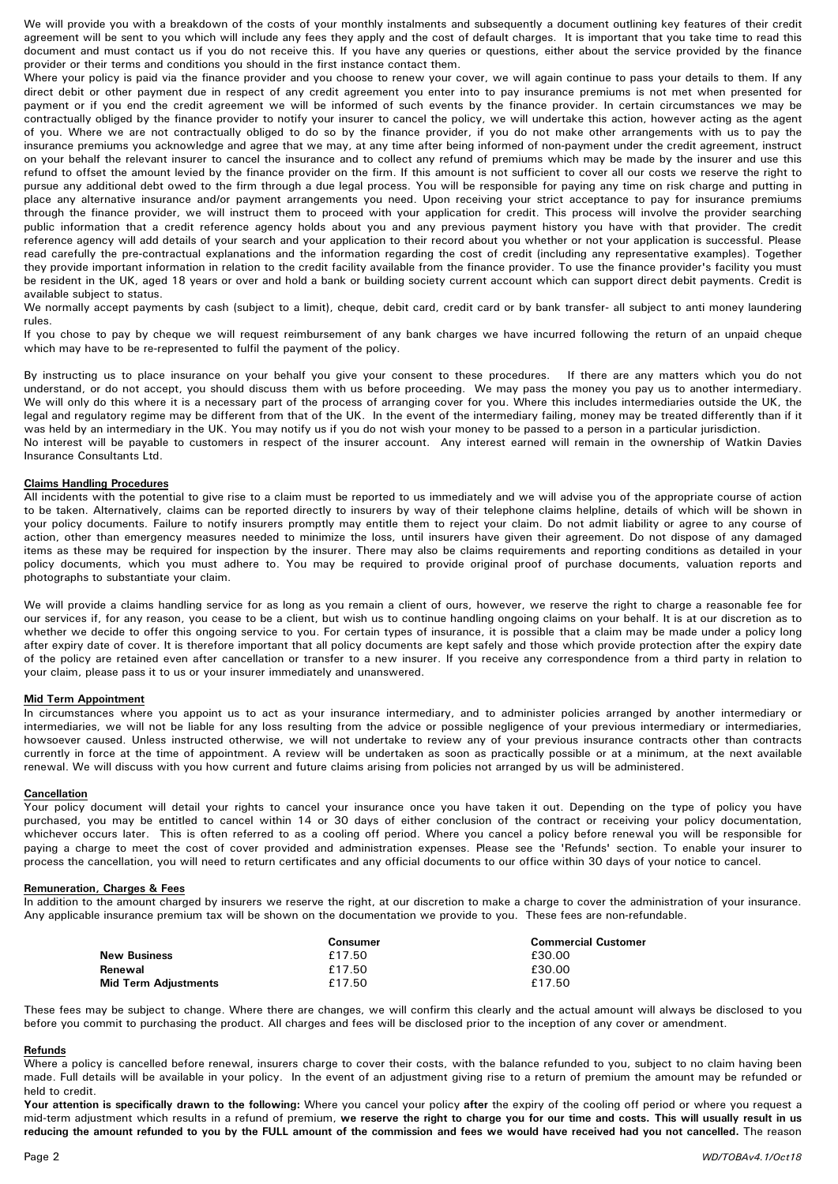We will provide you with a breakdown of the costs of your monthly instalments and subsequently a document outlining key features of their credit agreement will be sent to you which will include any fees they apply and the cost of default charges. It is important that you take time to read this document and must contact us if you do not receive this. If you have any queries or questions, either about the service provided by the finance provider or their terms and conditions you should in the first instance contact them.

Where your policy is paid via the finance provider and you choose to renew your cover, we will again continue to pass your details to them. If any direct debit or other payment due in respect of any credit agreement you enter into to pay insurance premiums is not met when presented for payment or if you end the credit agreement we will be informed of such events by the finance provider. In certain circumstances we may be contractually obliged by the finance provider to notify your insurer to cancel the policy, we will undertake this action, however acting as the agent of you. Where we are not contractually obliged to do so by the finance provider, if you do not make other arrangements with us to pay the insurance premiums you acknowledge and agree that we may, at any time after being informed of non-payment under the credit agreement, instruct on your behalf the relevant insurer to cancel the insurance and to collect any refund of premiums which may be made by the insurer and use this refund to offset the amount levied by the finance provider on the firm. If this amount is not sufficient to cover all our costs we reserve the right to pursue any additional debt owed to the firm through a due legal process. You will be responsible for paying any time on risk charge and putting in place any alternative insurance and/or payment arrangements you need. Upon receiving your strict acceptance to pay for insurance premiums through the finance provider, we will instruct them to proceed with your application for credit. This process will involve the provider searching public information that a credit reference agency holds about you and any previous payment history you have with that provider. The credit reference agency will add details of your search and your application to their record about you whether or not your application is successful. Please read carefully the pre-contractual explanations and the information regarding the cost of credit (including any representative examples). Together they provide important information in relation to the credit facility available from the finance provider. To use the finance provider's facility you must be resident in the UK, aged 18 years or over and hold a bank or building society current account which can support direct debit payments. Credit is available subject to status.

We normally accept payments by cash (subject to a limit), cheque, debit card, credit card or by bank transfer- all subject to anti money laundering rules.

If you chose to pay by cheque we will request reimbursement of any bank charges we have incurred following the return of an unpaid cheque which may have to be re-represented to fulfil the payment of the policy.

By instructing us to place insurance on your behalf you give your consent to these procedures. If there are any matters which you do not understand, or do not accept, you should discuss them with us before proceeding. We may pass the money you pay us to another intermediary. We will only do this where it is a necessary part of the process of arranging cover for you. Where this includes intermediaries outside the UK, the legal and regulatory regime may be different from that of the UK. In the event of the intermediary failing, money may be treated differently than if it was held by an intermediary in the UK. You may notify us if you do not wish your money to be passed to a person in a particular jurisdiction. No interest will be payable to customers in respect of the insurer account. Any interest earned will remain in the ownership of Watkin Davies Insurance Consultants Ltd.

# Claims Handling Procedures

All incidents with the potential to give rise to a claim must be reported to us immediately and we will advise you of the appropriate course of action to be taken. Alternatively, claims can be reported directly to insurers by way of their telephone claims helpline, details of which will be shown in your policy documents. Failure to notify insurers promptly may entitle them to reject your claim. Do not admit liability or agree to any course of action, other than emergency measures needed to minimize the loss, until insurers have given their agreement. Do not dispose of any damaged items as these may be required for inspection by the insurer. There may also be claims requirements and reporting conditions as detailed in your policy documents, which you must adhere to. You may be required to provide original proof of purchase documents, valuation reports and photographs to substantiate your claim.

We will provide a claims handling service for as long as you remain a client of ours, however, we reserve the right to charge a reasonable fee for our services if, for any reason, you cease to be a client, but wish us to continue handling ongoing claims on your behalf. It is at our discretion as to whether we decide to offer this ongoing service to you. For certain types of insurance, it is possible that a claim may be made under a policy long after expiry date of cover. It is therefore important that all policy documents are kept safely and those which provide protection after the expiry date of the policy are retained even after cancellation or transfer to a new insurer. If you receive any correspondence from a third party in relation to your claim, please pass it to us or your insurer immediately and unanswered.

# Mid Term Appointment

In circumstances where you appoint us to act as your insurance intermediary, and to administer policies arranged by another intermediary or intermediaries, we will not be liable for any loss resulting from the advice or possible negligence of your previous intermediary or intermediaries, howsoever caused. Unless instructed otherwise, we will not undertake to review any of your previous insurance contracts other than contracts currently in force at the time of appointment. A review will be undertaken as soon as practically possible or at a minimum, at the next available renewal. We will discuss with you how current and future claims arising from policies not arranged by us will be administered.

## Cancellation

Your policy document will detail your rights to cancel your insurance once you have taken it out. Depending on the type of policy you have purchased, you may be entitled to cancel within 14 or 30 days of either conclusion of the contract or receiving your policy documentation, whichever occurs later. This is often referred to as a cooling off period. Where you cancel a policy before renewal you will be responsible for paying a charge to meet the cost of cover provided and administration expenses. Please see the 'Refunds' section. To enable your insurer to process the cancellation, you will need to return certificates and any official documents to our office within 30 days of your notice to cancel.

## Remuneration, Charges & Fees

In addition to the amount charged by insurers we reserve the right, at our discretion to make a charge to cover the administration of your insurance. Any applicable insurance premium tax will be shown on the documentation we provide to you. These fees are non-refundable.

|                             | Consumer | <b>Commercial Customer</b> |
|-----------------------------|----------|----------------------------|
| <b>New Business</b>         | £17.50   | £30.00                     |
| Renewal                     | £17.50   | £30.00                     |
| <b>Mid Term Adjustments</b> | £17.50   | £17.50                     |

These fees may be subject to change. Where there are changes, we will confirm this clearly and the actual amount will always be disclosed to you before you commit to purchasing the product. All charges and fees will be disclosed prior to the inception of any cover or amendment.

# Refunds

Where a policy is cancelled before renewal, insurers charge to cover their costs, with the balance refunded to you, subject to no claim having been made. Full details will be available in your policy. In the event of an adjustment giving rise to a return of premium the amount may be refunded or held to credit.

Your attention is specifically drawn to the following: Where you cancel your policy after the expiry of the cooling off period or where you request a mid-term adjustment which results in a refund of premium, we reserve the right to charge you for our time and costs. This will usually result in us reducing the amount refunded to you by the FULL amount of the commission and fees we would have received had you not cancelled. The reason